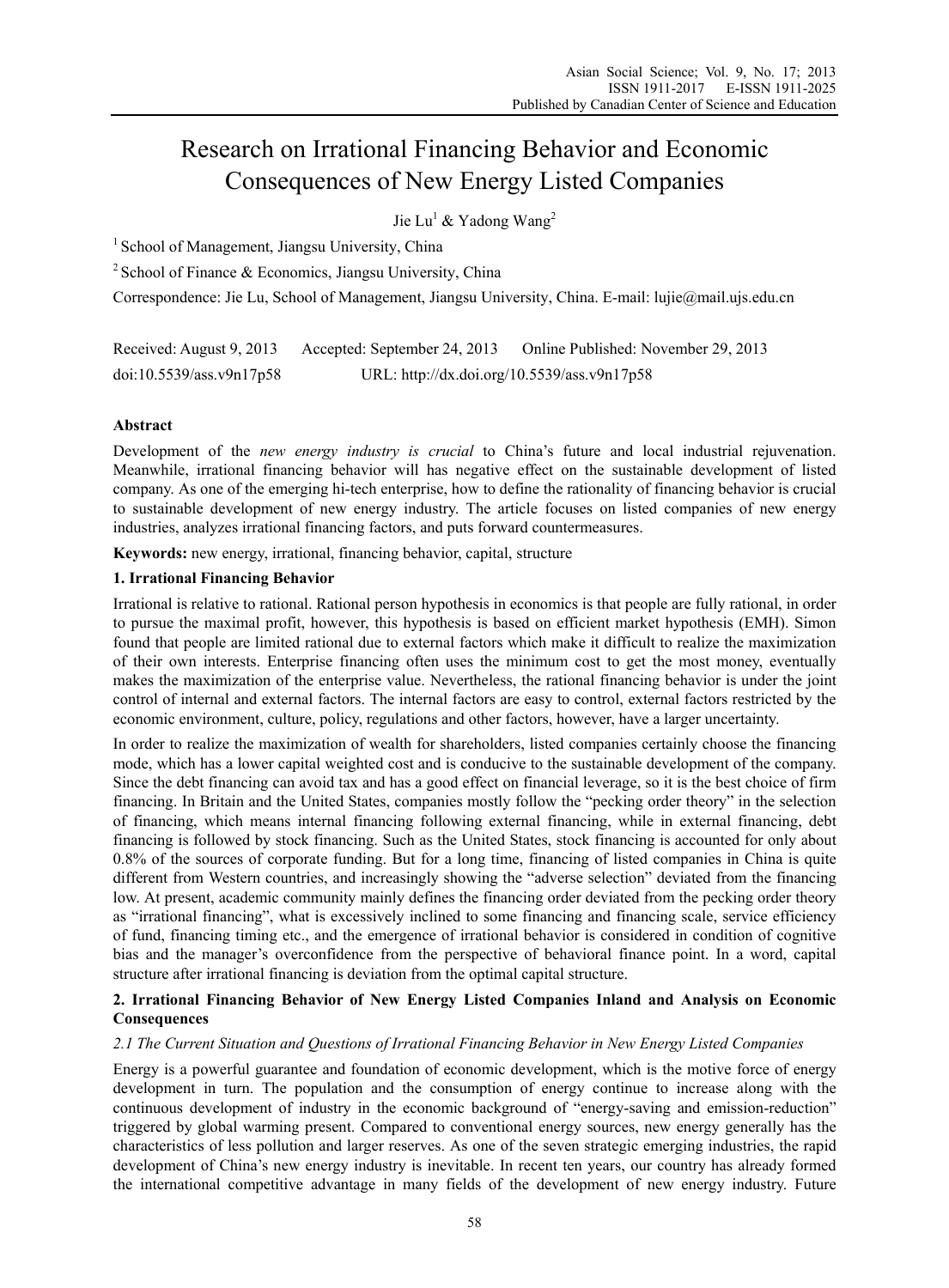# Research on Irrational Financing Behavior and Economic Consequences of New Energy Listed Companies

Jie Lu<sup>1</sup> & Yadong Wang<sup>2</sup>

<sup>1</sup> School of Management, Jiangsu University, China

<sup>2</sup> School of Finance & Economics, Jiangsu University, China

Correspondence: Jie Lu, School of Management, Jiangsu University, China. E-mail: lujie@mail.ujs.edu.cn

| Received: August 9, 2013 | Accepted: September 24, 2013                | Online Published: November 29, 2013 |
|--------------------------|---------------------------------------------|-------------------------------------|
| doi:10.5539/ass.v9n17p58 | URL: http://dx.doi.org/10.5539/ass.v9n17p58 |                                     |

# **Abstract**

Development of the *new energy industry is crucial* to China's future and local industrial rejuvenation. Meanwhile, irrational financing behavior will has negative effect on the sustainable development of listed company. As one of the emerging hi-tech enterprise, how to define the rationality of financing behavior is crucial to sustainable development of new energy industry. The article focuses on listed companies of new energy industries, analyzes irrational financing factors, and puts forward countermeasures.

**Keywords:** new energy, irrational, financing behavior, capital, structure

# **1. Irrational Financing Behavior**

Irrational is relative to rational. Rational person hypothesis in economics is that people are fully rational, in order to pursue the maximal profit, however, this hypothesis is based on efficient market hypothesis (EMH). Simon found that people are limited rational due to external factors which make it difficult to realize the maximization of their own interests. Enterprise financing often uses the minimum cost to get the most money, eventually makes the maximization of the enterprise value. Nevertheless, the rational financing behavior is under the joint control of internal and external factors. The internal factors are easy to control, external factors restricted by the economic environment, culture, policy, regulations and other factors, however, have a larger uncertainty.

In order to realize the maximization of wealth for shareholders, listed companies certainly choose the financing mode, which has a lower capital weighted cost and is conducive to the sustainable development of the company. Since the debt financing can avoid tax and has a good effect on financial leverage, so it is the best choice of firm financing. In Britain and the United States, companies mostly follow the "pecking order theory" in the selection of financing, which means internal financing following external financing, while in external financing, debt financing is followed by stock financing. Such as the United States, stock financing is accounted for only about 0.8% of the sources of corporate funding. But for a long time, financing of listed companies in China is quite different from Western countries, and increasingly showing the "adverse selection" deviated from the financing low. At present, academic community mainly defines the financing order deviated from the pecking order theory as "irrational financing", what is excessively inclined to some financing and financing scale, service efficiency of fund, financing timing etc., and the emergence of irrational behavior is considered in condition of cognitive bias and the manager's overconfidence from the perspective of behavioral finance point. In a word, capital structure after irrational financing is deviation from the optimal capital structure.

# **2. Irrational Financing Behavior of New Energy Listed Companies Inland and Analysis on Economic Consequences**

#### *2.1 The Current Situation and Questions of Irrational Financing Behavior in New Energy Listed Companies*

Energy is a powerful guarantee and foundation of economic development, which is the motive force of energy development in turn. The population and the consumption of energy continue to increase along with the continuous development of industry in the economic background of "energy-saving and emission-reduction" triggered by global warming present. Compared to conventional energy sources, new energy generally has the characteristics of less pollution and larger reserves. As one of the seven strategic emerging industries, the rapid development of China's new energy industry is inevitable. In recent ten years, our country has already formed the international competitive advantage in many fields of the development of new energy industry. Future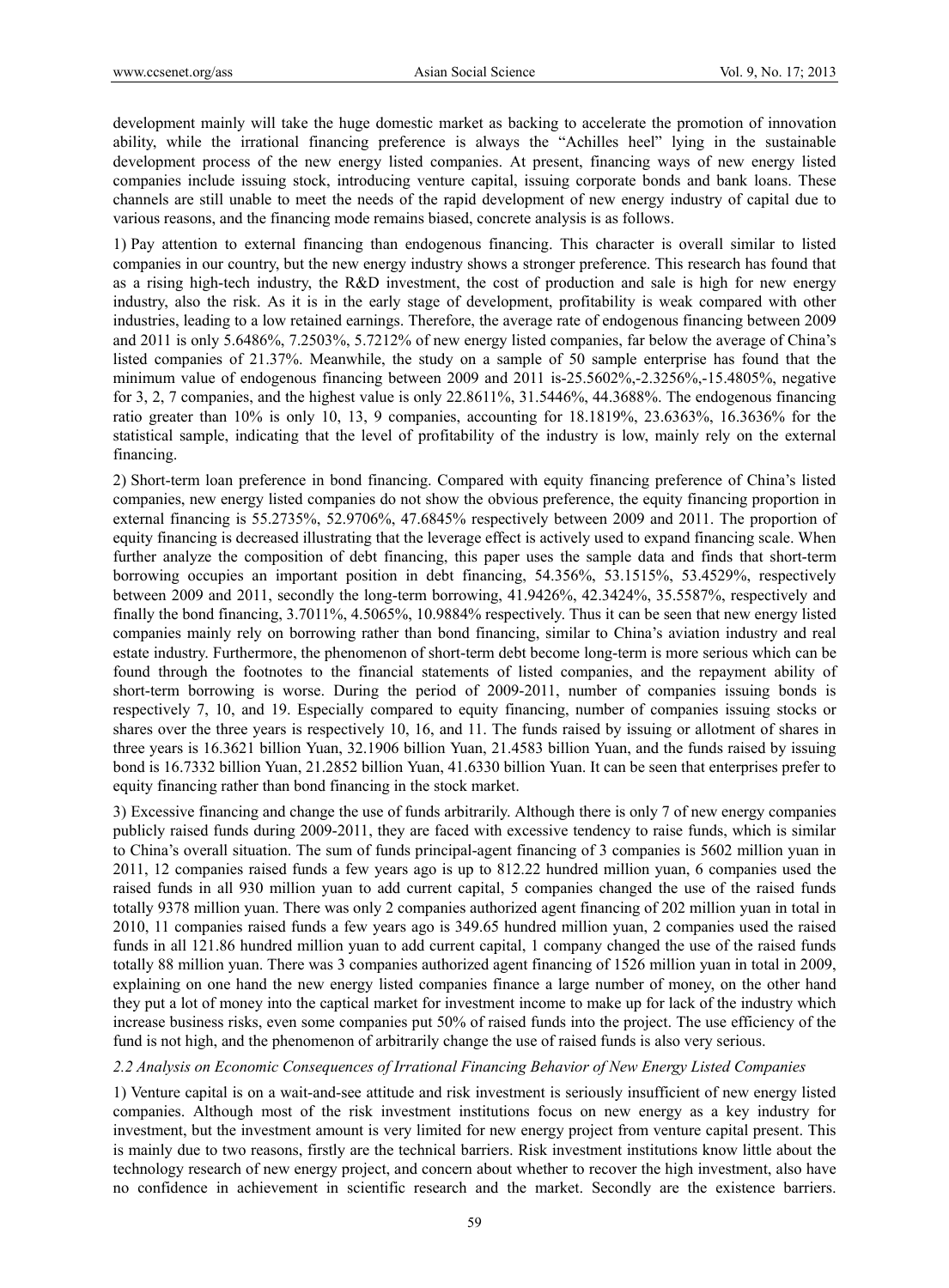development mainly will take the huge domestic market as backing to accelerate the promotion of innovation ability, while the irrational financing preference is always the "Achilles heel" lying in the sustainable development process of the new energy listed companies. At present, financing ways of new energy listed companies include issuing stock, introducing venture capital, issuing corporate bonds and bank loans. These channels are still unable to meet the needs of the rapid development of new energy industry of capital due to various reasons, and the financing mode remains biased, concrete analysis is as follows.

1) Pay attention to external financing than endogenous financing. This character is overall similar to listed companies in our country, but the new energy industry shows a stronger preference. This research has found that as a rising high-tech industry, the R&D investment, the cost of production and sale is high for new energy industry, also the risk. As it is in the early stage of development, profitability is weak compared with other industries, leading to a low retained earnings. Therefore, the average rate of endogenous financing between 2009 and 2011 is only 5.6486%, 7.2503%, 5.7212% of new energy listed companies, far below the average of China's listed companies of 21.37%. Meanwhile, the study on a sample of 50 sample enterprise has found that the minimum value of endogenous financing between 2009 and 2011 is-25.5602%,-2.3256%,-15.4805%, negative for 3, 2, 7 companies, and the highest value is only 22.8611%, 31.5446%, 44.3688%. The endogenous financing ratio greater than 10% is only 10, 13, 9 companies, accounting for 18.1819%, 23.6363%, 16.3636% for the statistical sample, indicating that the level of profitability of the industry is low, mainly rely on the external financing.

2) Short-term loan preference in bond financing. Compared with equity financing preference of China's listed companies, new energy listed companies do not show the obvious preference, the equity financing proportion in external financing is 55.2735%, 52.9706%, 47.6845% respectively between 2009 and 2011. The proportion of equity financing is decreased illustrating that the leverage effect is actively used to expand financing scale. When further analyze the composition of debt financing, this paper uses the sample data and finds that short-term borrowing occupies an important position in debt financing, 54.356%, 53.1515%, 53.4529%, respectively between 2009 and 2011, secondly the long-term borrowing, 41.9426%, 42.3424%, 35.5587%, respectively and finally the bond financing, 3.7011%, 4.5065%, 10.9884% respectively. Thus it can be seen that new energy listed companies mainly rely on borrowing rather than bond financing, similar to China's aviation industry and real estate industry. Furthermore, the phenomenon of short-term debt become long-term is more serious which can be found through the footnotes to the financial statements of listed companies, and the repayment ability of short-term borrowing is worse. During the period of 2009-2011, number of companies issuing bonds is respectively 7, 10, and 19. Especially compared to equity financing, number of companies issuing stocks or shares over the three years is respectively 10, 16, and 11. The funds raised by issuing or allotment of shares in three years is 16.3621 billion Yuan, 32.1906 billion Yuan, 21.4583 billion Yuan, and the funds raised by issuing bond is 16.7332 billion Yuan, 21.2852 billion Yuan, 41.6330 billion Yuan. It can be seen that enterprises prefer to equity financing rather than bond financing in the stock market.

3) Excessive financing and change the use of funds arbitrarily. Although there is only 7 of new energy companies publicly raised funds during 2009-2011, they are faced with excessive tendency to raise funds, which is similar to China's overall situation. The sum of funds principal-agent financing of 3 companies is 5602 million yuan in 2011, 12 companies raised funds a few years ago is up to 812.22 hundred million yuan, 6 companies used the raised funds in all 930 million yuan to add current capital, 5 companies changed the use of the raised funds totally 9378 million yuan. There was only 2 companies authorized agent financing of 202 million yuan in total in 2010, 11 companies raised funds a few years ago is 349.65 hundred million yuan, 2 companies used the raised funds in all 121.86 hundred million yuan to add current capital, 1 company changed the use of the raised funds totally 88 million yuan. There was 3 companies authorized agent financing of 1526 million yuan in total in 2009, explaining on one hand the new energy listed companies finance a large number of money, on the other hand they put a lot of money into the captical market for investment income to make up for lack of the industry which increase business risks, even some companies put 50% of raised funds into the project. The use efficiency of the fund is not high, and the phenomenon of arbitrarily change the use of raised funds is also very serious.

#### *2.2 Analysis on Economic Consequences of Irrational Financing Behavior of New Energy Listed Companies*

1) Venture capital is on a wait-and-see attitude and risk investment is seriously insufficient of new energy listed companies. Although most of the risk investment institutions focus on new energy as a key industry for investment, but the investment amount is very limited for new energy project from venture capital present. This is mainly due to two reasons, firstly are the technical barriers. Risk investment institutions know little about the technology research of new energy project, and concern about whether to recover the high investment, also have no confidence in achievement in scientific research and the market. Secondly are the existence barriers.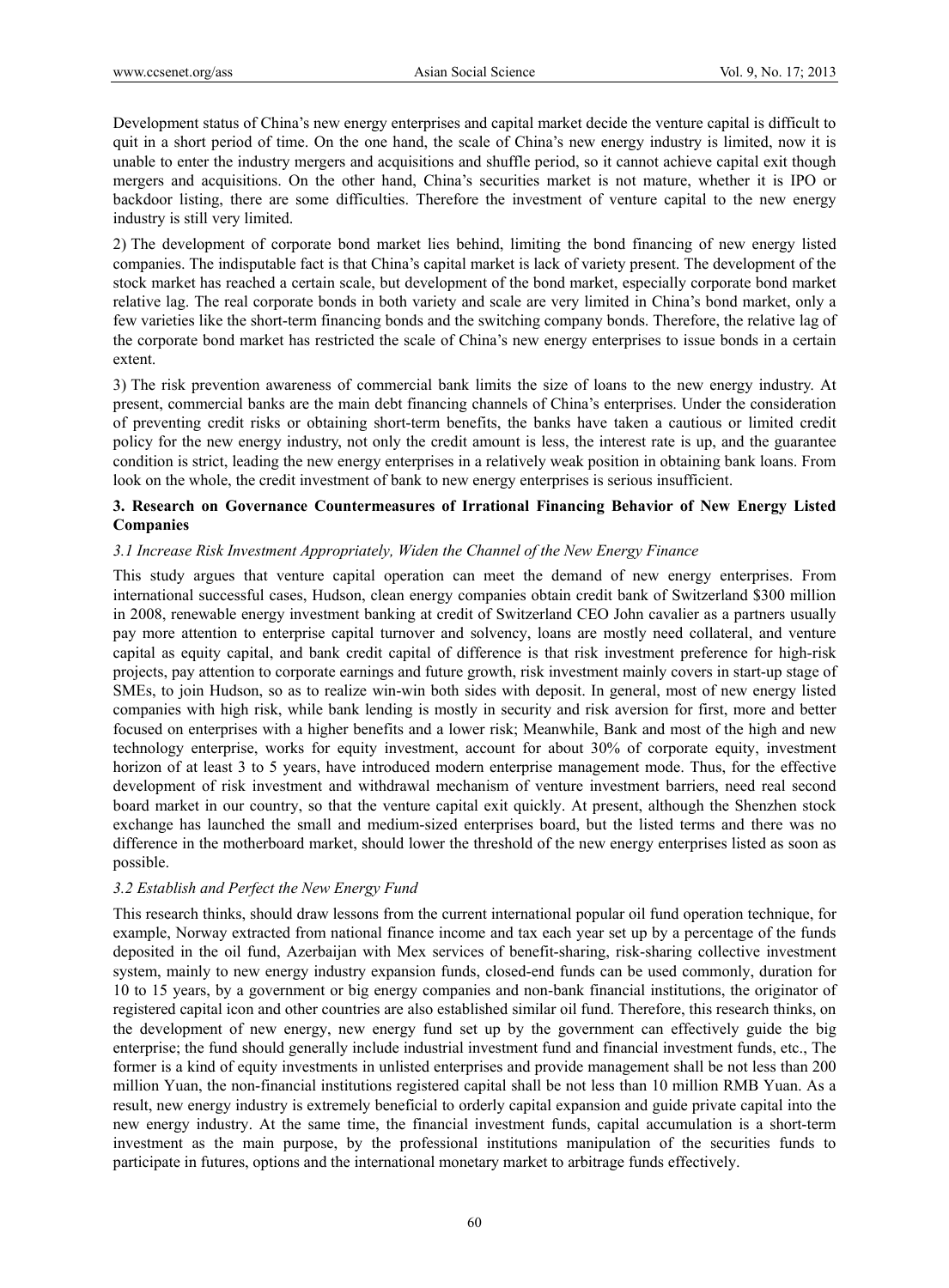Development status of China's new energy enterprises and capital market decide the venture capital is difficult to quit in a short period of time. On the one hand, the scale of China's new energy industry is limited, now it is unable to enter the industry mergers and acquisitions and shuffle period, so it cannot achieve capital exit though mergers and acquisitions. On the other hand, China's securities market is not mature, whether it is IPO or backdoor listing, there are some difficulties. Therefore the investment of venture capital to the new energy industry is still very limited.

2) The development of corporate bond market lies behind, limiting the bond financing of new energy listed companies. The indisputable fact is that China's capital market is lack of variety present. The development of the stock market has reached a certain scale, but development of the bond market, especially corporate bond market relative lag. The real corporate bonds in both variety and scale are very limited in China's bond market, only a few varieties like the short-term financing bonds and the switching company bonds. Therefore, the relative lag of the corporate bond market has restricted the scale of China's new energy enterprises to issue bonds in a certain extent.

3) The risk prevention awareness of commercial bank limits the size of loans to the new energy industry. At present, commercial banks are the main debt financing channels of China's enterprises. Under the consideration of preventing credit risks or obtaining short-term benefits, the banks have taken a cautious or limited credit policy for the new energy industry, not only the credit amount is less, the interest rate is up, and the guarantee condition is strict, leading the new energy enterprises in a relatively weak position in obtaining bank loans. From look on the whole, the credit investment of bank to new energy enterprises is serious insufficient.

# **3. Research on Governance Countermeasures of Irrational Financing Behavior of New Energy Listed Companies**

# *3.1 Increase Risk Investment Appropriately, Widen the Channel of the New Energy Finance*

This study argues that venture capital operation can meet the demand of new energy enterprises. From international successful cases, Hudson, clean energy companies obtain credit bank of Switzerland \$300 million in 2008, renewable energy investment banking at credit of Switzerland CEO John cavalier as a partners usually pay more attention to enterprise capital turnover and solvency, loans are mostly need collateral, and venture capital as equity capital, and bank credit capital of difference is that risk investment preference for high-risk projects, pay attention to corporate earnings and future growth, risk investment mainly covers in start-up stage of SMEs, to join Hudson, so as to realize win-win both sides with deposit. In general, most of new energy listed companies with high risk, while bank lending is mostly in security and risk aversion for first, more and better focused on enterprises with a higher benefits and a lower risk; Meanwhile, Bank and most of the high and new technology enterprise, works for equity investment, account for about 30% of corporate equity, investment horizon of at least 3 to 5 years, have introduced modern enterprise management mode. Thus, for the effective development of risk investment and withdrawal mechanism of venture investment barriers, need real second board market in our country, so that the venture capital exit quickly. At present, although the Shenzhen stock exchange has launched the small and medium-sized enterprises board, but the listed terms and there was no difference in the motherboard market, should lower the threshold of the new energy enterprises listed as soon as possible.

# *3.2 Establish and Perfect the New Energy Fund*

This research thinks, should draw lessons from the current international popular oil fund operation technique, for example, Norway extracted from national finance income and tax each year set up by a percentage of the funds deposited in the oil fund, Azerbaijan with Mex services of benefit-sharing, risk-sharing collective investment system, mainly to new energy industry expansion funds, closed-end funds can be used commonly, duration for 10 to 15 years, by a government or big energy companies and non-bank financial institutions, the originator of registered capital icon and other countries are also established similar oil fund. Therefore, this research thinks, on the development of new energy, new energy fund set up by the government can effectively guide the big enterprise; the fund should generally include industrial investment fund and financial investment funds, etc., The former is a kind of equity investments in unlisted enterprises and provide management shall be not less than 200 million Yuan, the non-financial institutions registered capital shall be not less than 10 million RMB Yuan. As a result, new energy industry is extremely beneficial to orderly capital expansion and guide private capital into the new energy industry. At the same time, the financial investment funds, capital accumulation is a short-term investment as the main purpose, by the professional institutions manipulation of the securities funds to participate in futures, options and the international monetary market to arbitrage funds effectively.